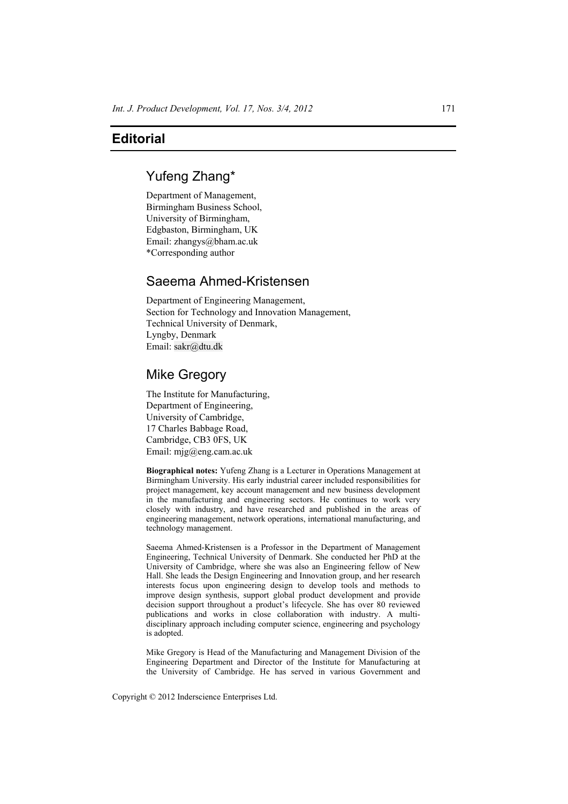## **Editorial**

### Yufeng Zhang\*

Department of Management, Birmingham Business School, University of Birmingham, Edgbaston, Birmingham, UK Email: zhangys@bham.ac.uk \*Corresponding author

# Saeema Ahmed-Kristensen

Department of Engineering Management, Section for Technology and Innovation Management, Technical University of Denmark, Lyngby, Denmark Email: sakr@dtu.dk

### Mike Gregory

The Institute for Manufacturing, Department of Engineering, University of Cambridge, 17 Charles Babbage Road, Cambridge, CB3 0FS, UK Email: mjg@eng.cam.ac.uk

**Biographical notes:** Yufeng Zhang is a Lecturer in Operations Management at Birmingham University. His early industrial career included responsibilities for project management, key account management and new business development in the manufacturing and engineering sectors. He continues to work very closely with industry, and have researched and published in the areas of engineering management, network operations, international manufacturing, and technology management.

Saeema Ahmed-Kristensen is a Professor in the Department of Management Engineering, Technical University of Denmark. She conducted her PhD at the University of Cambridge, where she was also an Engineering fellow of New Hall. She leads the Design Engineering and Innovation group, and her research interests focus upon engineering design to develop tools and methods to improve design synthesis, support global product development and provide decision support throughout a product's lifecycle. She has over 80 reviewed publications and works in close collaboration with industry. A multidisciplinary approach including computer science, engineering and psychology is adopted.

Mike Gregory is Head of the Manufacturing and Management Division of the Engineering Department and Director of the Institute for Manufacturing at the University of Cambridge. He has served in various Government and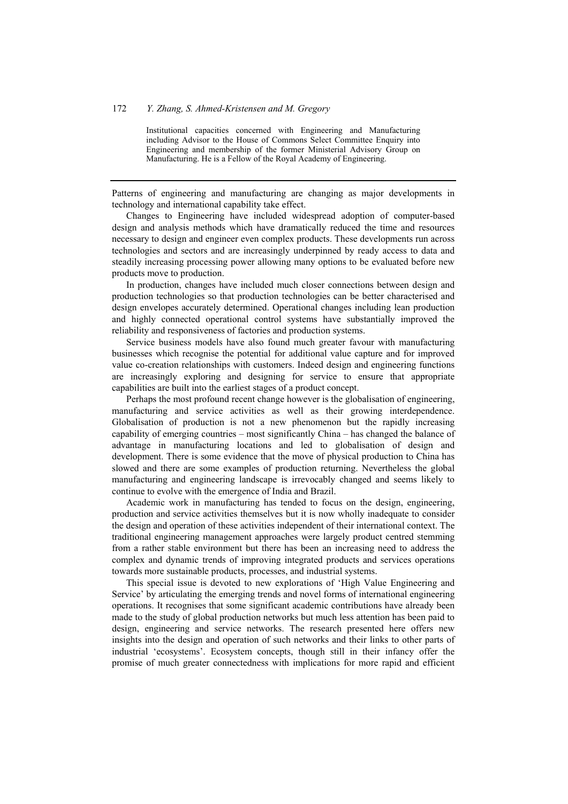#### 172 *Y. Zhang, S. Ahmed-Kristensen and M. Gregory*

Institutional capacities concerned with Engineering and Manufacturing including Advisor to the House of Commons Select Committee Enquiry into Engineering and membership of the former Ministerial Advisory Group on Manufacturing. He is a Fellow of the Royal Academy of Engineering.

Patterns of engineering and manufacturing are changing as major developments in technology and international capability take effect.

Changes to Engineering have included widespread adoption of computer-based design and analysis methods which have dramatically reduced the time and resources necessary to design and engineer even complex products. These developments run across technologies and sectors and are increasingly underpinned by ready access to data and steadily increasing processing power allowing many options to be evaluated before new products move to production.

In production, changes have included much closer connections between design and production technologies so that production technologies can be better characterised and design envelopes accurately determined. Operational changes including lean production and highly connected operational control systems have substantially improved the reliability and responsiveness of factories and production systems.

Service business models have also found much greater favour with manufacturing businesses which recognise the potential for additional value capture and for improved value co-creation relationships with customers. Indeed design and engineering functions are increasingly exploring and designing for service to ensure that appropriate capabilities are built into the earliest stages of a product concept.

Perhaps the most profound recent change however is the globalisation of engineering, manufacturing and service activities as well as their growing interdependence. Globalisation of production is not a new phenomenon but the rapidly increasing capability of emerging countries – most significantly China – has changed the balance of advantage in manufacturing locations and led to globalisation of design and development. There is some evidence that the move of physical production to China has slowed and there are some examples of production returning. Nevertheless the global manufacturing and engineering landscape is irrevocably changed and seems likely to continue to evolve with the emergence of India and Brazil.

Academic work in manufacturing has tended to focus on the design, engineering, production and service activities themselves but it is now wholly inadequate to consider the design and operation of these activities independent of their international context. The traditional engineering management approaches were largely product centred stemming from a rather stable environment but there has been an increasing need to address the complex and dynamic trends of improving integrated products and services operations towards more sustainable products, processes, and industrial systems.

This special issue is devoted to new explorations of 'High Value Engineering and Service' by articulating the emerging trends and novel forms of international engineering operations. It recognises that some significant academic contributions have already been made to the study of global production networks but much less attention has been paid to design, engineering and service networks. The research presented here offers new insights into the design and operation of such networks and their links to other parts of industrial 'ecosystems'. Ecosystem concepts, though still in their infancy offer the promise of much greater connectedness with implications for more rapid and efficient